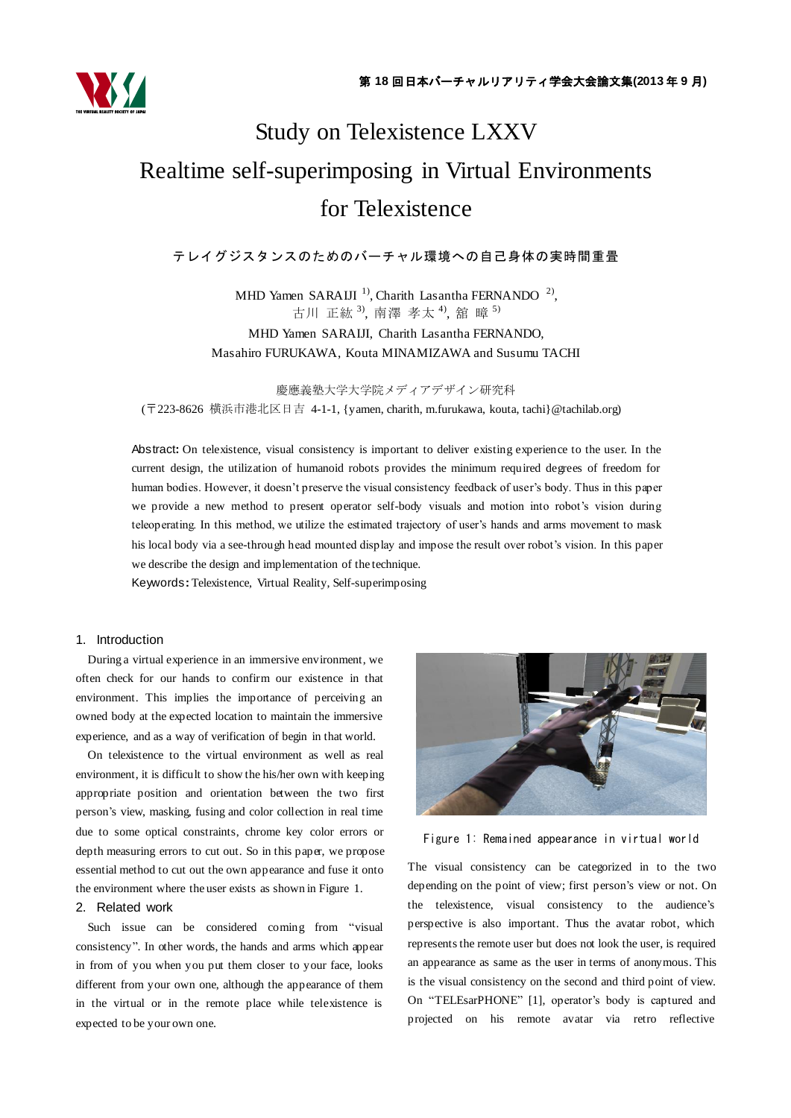

# Study on Telexistence LXXV Realtime self-superimposing in Virtual Environments for Telexistence

# テレイグジスタンスのためのバーチャル環境への自己身体の実時間重畳

MHD Yamen SARAIJI<sup>1</sup>, Charith Lasantha FERNANDO<sup>2</sup>, 古川 正紘 <sup>3</sup>, 南澤 孝太 <sup>4</sup>, 舘 暲 <sup>5)</sup> MHD Yamen SARAIJI, Charith Lasantha FERNANDO, Masahiro FURUKAWA, Kouta MINAMIZAWA and Susumu TACHI

慶應義塾大学大学院メディアデザイン研究科 (〒223-8626 横浜市港北区日吉 4-1-1, {yamen, charith, m.furukawa, kouta, tachi}@tachilab.org)

Abstract**:** On telexistence, visual consistency is important to deliver existing experience to the user. In the current design, the utilization of humanoid robots provides the minimum required degrees of freedom for human bodies. However, it doesn't preserve the visual consistency feedback of user's body. Thus in this paper we provide a new method to present operator self-body visuals and motion into robot"s vision during teleoperating. In this method, we utilize the estimated trajectory of user"s hands and arms movement to mask his local body via a see-through head mounted display and impose the result over robot"s vision. In this paper we describe the design and implementation of the technique.

Keywords**:** Telexistence, Virtual Reality, Self-superimposing

### 1. Introduction

During a virtual experience in an immersive environment, we often check for our hands to confirm our existence in that environment. This implies the importance of perceiving an owned body at the expected location to maintain the immersive experience, and as a way of verification of begin in that world.

On telexistence to the virtual environment as well as real environment, it is difficult to show the his/her own with keeping appropriate position and orientation between the two first person"s view, masking, fusing and color collection in real time due to some optical constraints, chrome key color errors or depth measuring errors to cut out. So in this paper, we propose essential method to cut out the own appearance and fuse it onto the environment where the user exists as shown in Figure 1.

# 2. Related work

Such issue can be considered coming from "visual consistency". In other words, the hands and arms which appear in from of you when you put them closer to your face, looks different from your own one, although the appearance of them in the virtual or in the remote place while telexistence is expected to be your own one.



Figure 1: Remained appearance in virtual world

The visual consistency can be categorized in to the two depending on the point of view; first person's view or not. On the telexistence, visual consistency to the audience"s perspective is also important. Thus the avatar robot, which represents the remote user but does not look the user, is required an appearance as same as the user in terms of anonymous. This is the visual consistency on the second and third point of view. On "TELEsarPHONE" [\[1\],](#page-3-0) operator's body is captured and projected on his remote avatar via retro reflective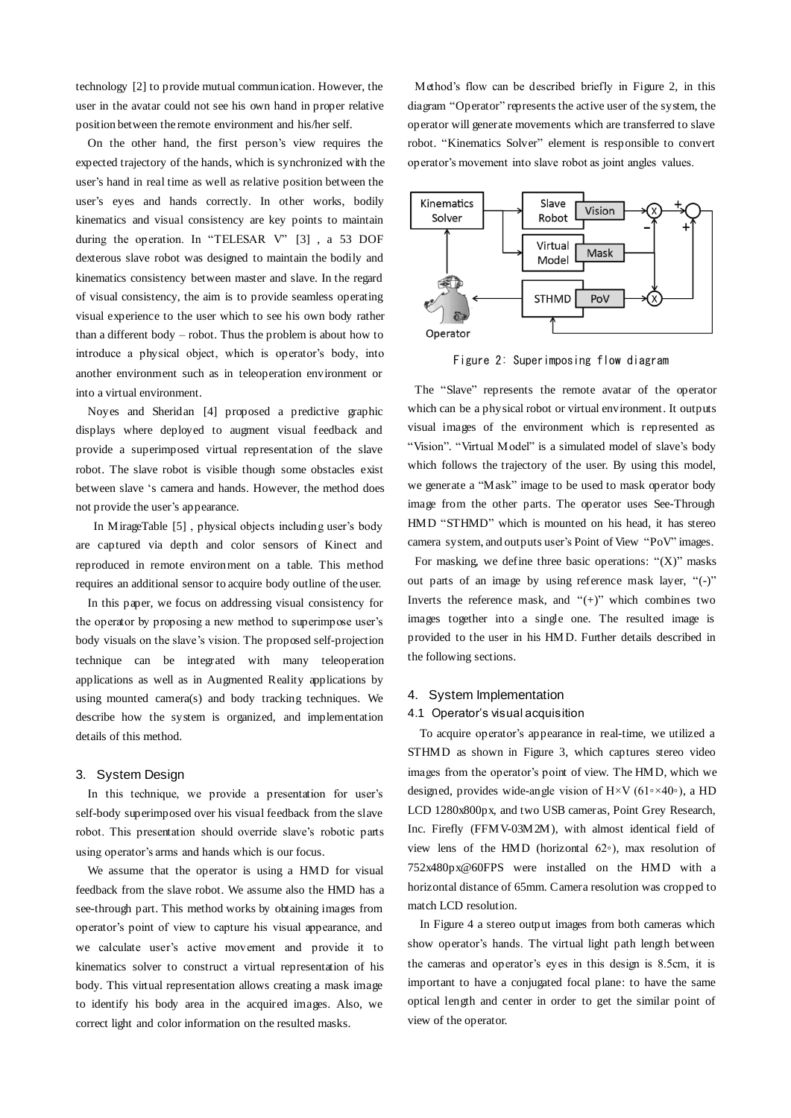technology [\[2\]](#page-3-1) to provide mutual communication. However, the user in the avatar could not see his own hand in proper relative position between the remote environment and his/her self.

On the other hand, the first person"s view requires the expected trajectory of the hands, which is synchronized with the user's hand in real time as well as relative position between the user's eyes and hands correctly. In other works, bodily kinematics and visual consistency are key points to maintain during the operation. In "TELESAR V" [\[3\]](#page-3-2), a 53 DOF dexterous slave robot was designed to maintain the bodily and kinematics consistency between master and slave. In the regard of visual consistency, the aim is to provide seamless operating visual experience to the user which to see his own body rather than a different body – robot. Thus the problem is about how to introduce a physical object, which is operator's body, into another environment such as in teleoperation environment or into a virtual environment.

Noyes and Sheridan [\[4\]](#page-3-3) proposed a predictive graphic displays where deployed to augment visual feedback and provide a superimposed virtual representation of the slave robot. The slave robot is visible though some obstacles exist between slave "s camera and hands. However, the method does not provide the user"s appearance.

In MirageTable [\[5\]](#page-3-4), physical objects including user's body are captured via depth and color sensors of Kinect and reproduced in remote environment on a table. This method requires an additional sensor to acquire body outline of the user.

In this paper, we focus on addressing visual consistency for the operator by proposing a new method to superimpose user"s body visuals on the slave's vision. The proposed self-projection technique can be integrated with many teleoperation applications as well as in Augmented Reality applications by using mounted camera(s) and body tracking techniques. We describe how the system is organized, and implementation details of this method.

# 3. System Design

In this technique, we provide a presentation for user's self-body superimposed over his visual feedback from the slave robot. This presentation should override slave"s robotic parts using operator's arms and hands which is our focus.

We assume that the operator is using a HMD for visual feedback from the slave robot. We assume also the HMD has a see-through part. This method works by obtaining images from operator"s point of view to capture his visual appearance, and we calculate user's active movement and provide it to kinematics solver to construct a virtual representation of his body. This virtual representation allows creating a mask image to identify his body area in the acquired images. Also, we correct light and color information on the resulted masks.

Method"s flow can be described briefly in [Figure 2,](#page-1-0) in this diagram "Operator" represents the active user of the system, the operator will generate movements which are transferred to slave robot. "Kinematics Solver" element is responsible to convert operator"s movement into slave robot as joint angles values.



Figure 2: Superimposing flow diagram

<span id="page-1-0"></span>The "Slave" represents the remote avatar of the operator which can be a physical robot or virtual environment. It outputs visual images of the environment which is represented as "Vision". "Virtual Model" is a simulated model of slave's body which follows the trajectory of the user. By using this model, we generate a "Mask" image to be used to mask operator body image from the other parts. The operator uses See-Through HMD "STHMD" which is mounted on his head, it has stereo camera system, and outputs user's Point of View "PoV" images.

For masking, we define three basic operations: " $(X)$ " masks out parts of an image by using reference mask layer, "(-)" Inverts the reference mask, and " $(+)$ " which combines two images together into a single one. The resulted image is provided to the user in his HMD. Further details described in the following sections.

#### 4. System Implementation

#### 4.1 Operator's visual acquisition

To acquire operator's appearance in real-time, we utilized a STHMD as shown in Figure 3, which captures stereo video images from the operator's point of view. The HMD, which we designed, provides wide-angle vision of H×V (61◦×40◦), a HD LCD 1280x800px, and two USB cameras, Point Grey Research, Inc. Firefly (FFMV-03M2M), with almost identical field of view lens of the HMD (horizontal 62◦), max resolution of 752x480px@60FPS were installed on the HMD with a horizontal distance of 65mm. Camera resolution was cropped to match LCD resolution.

In [Figure 4](#page-2-0) a stereo output images from both cameras which show operator's hands. The virtual light path length between the cameras and operator's eyes in this design is 8.5cm, it is important to have a conjugated focal plane: to have the same optical length and center in order to get the similar point of view of the operator.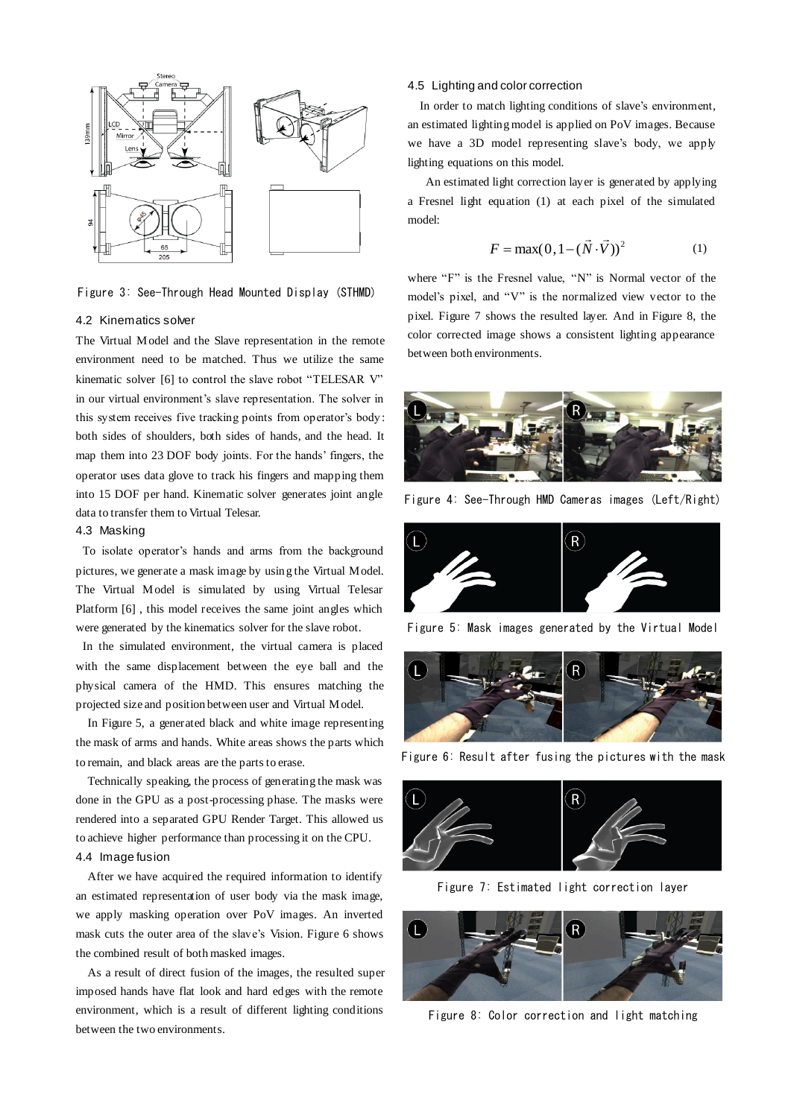

Figure 3: See-Through Head Mounted Display (STHMD)

### 4.2 Kinematics solver

The Virtual Model and the Slave representation in the remote environment need to be matched. Thus we utilize the same kinematic solver [\[6\]](#page-3-5) to control the slave robot "TELESAR V" in our virtual environment's slave representation. The solver in this system receives five tracking points from operator's body: both sides of shoulders, both sides of hands, and the head. It map them into 23 DOF body joints. For the hands" fingers, the operator uses data glove to track his fingers and mapping them into 15 DOF per hand. Kinematic solver generates joint angle data to transfer them to Virtual Telesar.

## 4.3 Masking

To isolate operator's hands and arms from the background pictures, we generate a mask image by using the Virtual Model. The Virtual Model is simulated by using Virtual Telesar Platform [\[6\]](#page-3-5) , this model receives the same joint angles which were generated by the kinematics solver for the slave robot.

In the simulated environment, the virtual camera is placed with the same displacement between the eye ball and the physical camera of the HMD. This ensures matching the projected size and position between user and Virtual Model.

In [Figure 5,](#page-2-1) a generated black and white image representing the mask of arms and hands. White areas shows the parts which to remain, and black areas are the parts to erase.

Technically speaking, the process of generating the mask was done in the GPU as a post-processing phase. The masks were rendered into a separated GPU Render Target. This allowed us to achieve higher performance than processing it on the CPU. 4.4 Image fusion

After we have acquired the required information to identify an estimated representation of user body via the mask image, we apply masking operation over PoV images. An inverted mask cuts the outer area of the slave's Vision. [Figure 6](#page-2-2) shows the combined result of both masked images.

As a result of direct fusion of the images, the resulted super imposed hands have flat look and hard edges with the remote environment, which is a result of different lighting conditions between the two environments.

#### 4.5 Lighting and color correction

In order to match lighting conditions of slave's environment, an estimated lighting model is applied on PoV images. Because we have a 3D model representing slave's body, we apply lighting equations on this model.

An estimated light correction layer is generated by applying a Fresnel light equation (1) at each pixel of the simulated model:

$$
F = \max(0, 1 - (\vec{N} \cdot \vec{V}))^{2}
$$
 (1)

where "F" is the Fresnel value, "N" is Normal vector of the model"s pixel, and "V" is the normalized view vector to the pixel. [Figure 7](#page-2-3) shows the resulted layer. And in [Figure 8,](#page-2-4) the color corrected image shows a consistent lighting appearance between both environments.



Figure 4: See-Through HMD Cameras images (Left/Right)

<span id="page-2-0"></span>

Figure 5: Mask images generated by the Virtual Model

<span id="page-2-1"></span>

Figure 6: Result after fusing the pictures with the mask

<span id="page-2-2"></span>

Figure 7: Estimated light correction layer

<span id="page-2-4"></span><span id="page-2-3"></span>

Figure 8: Color correction and light matching